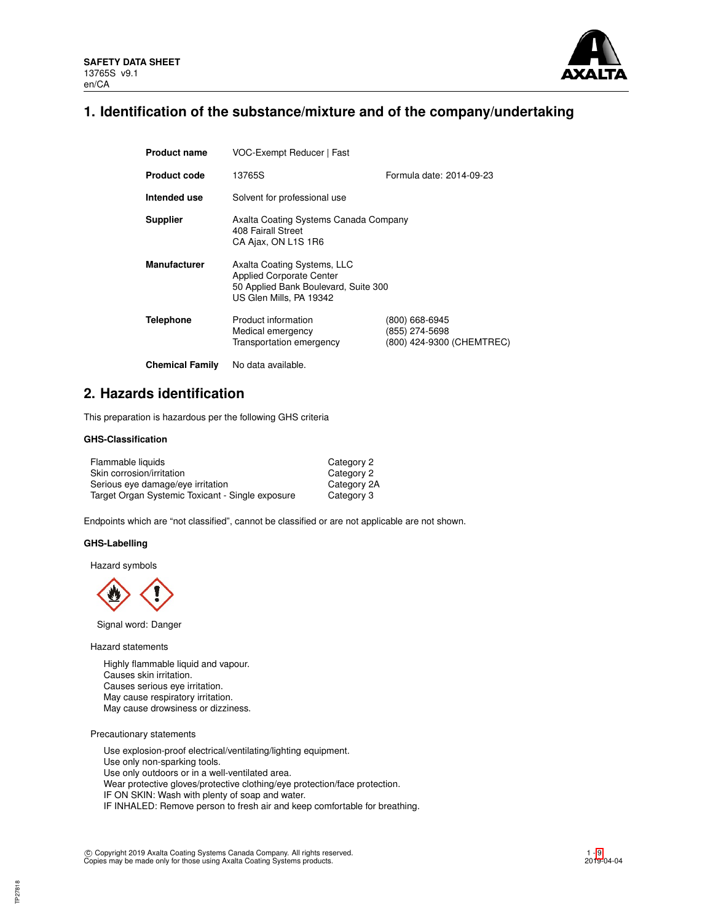

## **1. Identification of the substance/mixture and of the company/undertaking**

| <b>Product name</b>    | VOC-Exempt Reducer   Fast                                                                                                         |                                                               |  |  |  |
|------------------------|-----------------------------------------------------------------------------------------------------------------------------------|---------------------------------------------------------------|--|--|--|
| <b>Product code</b>    | Formula date: 2014-09-23<br>13765S                                                                                                |                                                               |  |  |  |
| Intended use           | Solvent for professional use                                                                                                      |                                                               |  |  |  |
| <b>Supplier</b>        | Axalta Coating Systems Canada Company<br>408 Fairall Street<br>CA Ajax, ON L1S 1R6                                                |                                                               |  |  |  |
| <b>Manufacturer</b>    | Axalta Coating Systems, LLC<br><b>Applied Corporate Center</b><br>50 Applied Bank Boulevard, Suite 300<br>US Glen Mills, PA 19342 |                                                               |  |  |  |
| <b>Telephone</b>       | Product information<br>Medical emergency<br>Transportation emergency                                                              | (800) 668-6945<br>(855) 274-5698<br>(800) 424-9300 (CHEMTREC) |  |  |  |
| <b>Chemical Family</b> | No data available.                                                                                                                |                                                               |  |  |  |

## **2. Hazards identification**

This preparation is hazardous per the following GHS criteria

## **GHS-Classification**

| Flammable liquids                                | Category 2  |
|--------------------------------------------------|-------------|
| Skin corrosion/irritation                        | Category 2  |
| Serious eye damage/eye irritation                | Category 2A |
| Target Organ Systemic Toxicant - Single exposure | Category 3  |

Endpoints which are "not classified", cannot be classified or are not applicable are not shown.

## **GHS-Labelling**

Hazard symbols



Signal word: Danger

Hazard statements

Highly flammable liquid and vapour. Causes skin irritation. Causes serious eye irritation. May cause respiratory irritation. May cause drowsiness or dizziness.

Precautionary statements

Use explosion-proof electrical/ventilating/lighting equipment. Use only non-sparking tools. Use only outdoors or in a well-ventilated area. Wear protective gloves/protective clothing/eye protection/face protection. IF ON SKIN: Wash with plenty of soap and water. IF INHALED: Remove person to fresh air and keep comfortable for breathing.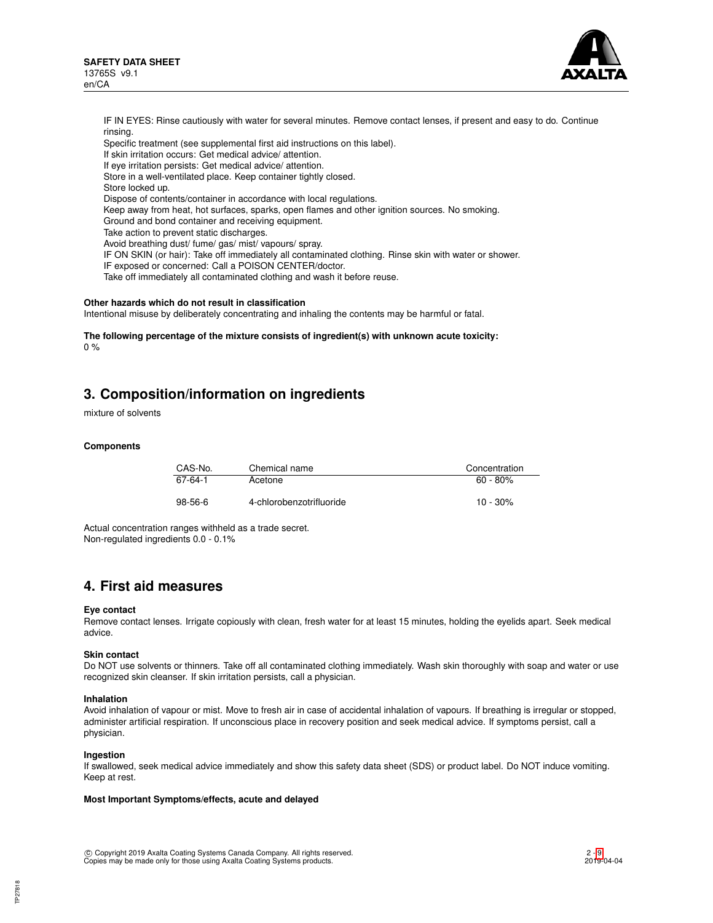

IF IN EYES: Rinse cautiously with water for several minutes. Remove contact lenses, if present and easy to do. Continue rinsing. Specific treatment (see supplemental first aid instructions on this label). If skin irritation occurs: Get medical advice/ attention. If eye irritation persists: Get medical advice/ attention. Store in a well-ventilated place. Keep container tightly closed. Store locked up. Dispose of contents/container in accordance with local regulations. Keep away from heat, hot surfaces, sparks, open flames and other ignition sources. No smoking. Ground and bond container and receiving equipment. Take action to prevent static discharges. Avoid breathing dust/ fume/ gas/ mist/ vapours/ spray. IF ON SKIN (or hair): Take off immediately all contaminated clothing. Rinse skin with water or shower. IF exposed or concerned: Call a POISON CENTER/doctor. Take off immediately all contaminated clothing and wash it before reuse.

#### **Other hazards which do not result in classification**

Intentional misuse by deliberately concentrating and inhaling the contents may be harmful or fatal.

**The following percentage of the mixture consists of ingredient(s) with unknown acute toxicity:** 0 %

## **3. Composition/information on ingredients**

mixture of solvents

#### **Components**

| CAS-No. | Chemical name            | Concentration |
|---------|--------------------------|---------------|
| 67-64-1 | Acetone                  | $60 - 80\%$   |
| 98-56-6 | 4-chlorobenzotrifluoride | $10 - 30\%$   |

Actual concentration ranges withheld as a trade secret. Non-regulated ingredients 0.0 - 0.1%

## **4. First aid measures**

#### **Eye contact**

Remove contact lenses. Irrigate copiously with clean, fresh water for at least 15 minutes, holding the eyelids apart. Seek medical advice.

#### **Skin contact**

Do NOT use solvents or thinners. Take off all contaminated clothing immediately. Wash skin thoroughly with soap and water or use recognized skin cleanser. If skin irritation persists, call a physician.

#### **Inhalation**

Avoid inhalation of vapour or mist. Move to fresh air in case of accidental inhalation of vapours. If breathing is irregular or stopped, administer artificial respiration. If unconscious place in recovery position and seek medical advice. If symptoms persist, call a physician.

#### **Ingestion**

If swallowed, seek medical advice immediately and show this safety data sheet (SDS) or product label. Do NOT induce vomiting. Keep at rest.

## **Most Important Symptoms/effects, acute and delayed**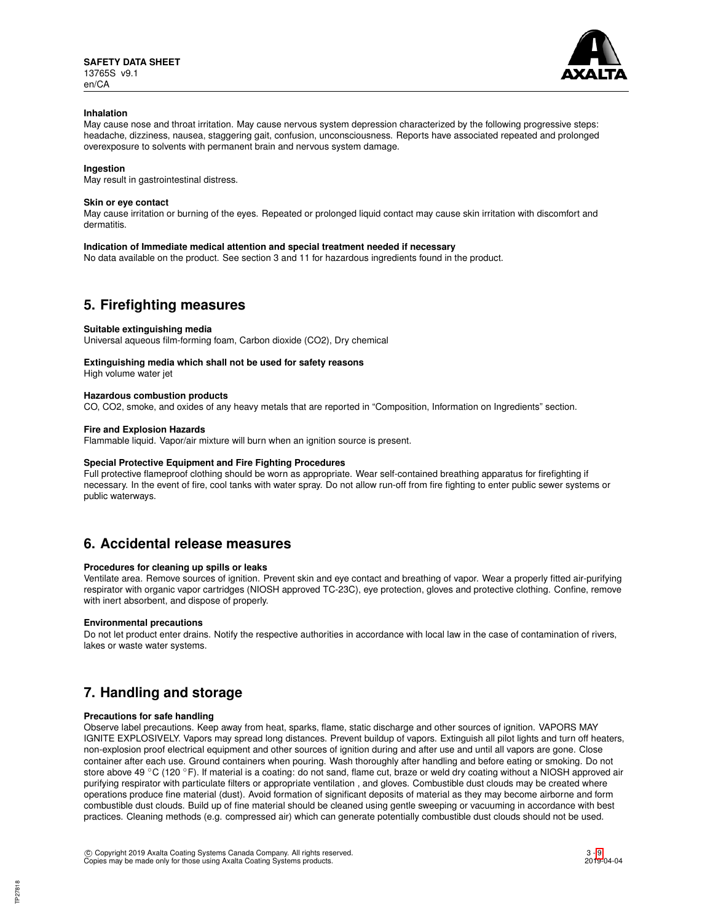

### **Inhalation**

May cause nose and throat irritation. May cause nervous system depression characterized by the following progressive steps: headache, dizziness, nausea, staggering gait, confusion, unconsciousness. Reports have associated repeated and prolonged overexposure to solvents with permanent brain and nervous system damage.

## **Ingestion**

May result in gastrointestinal distress.

### **Skin or eye contact**

May cause irritation or burning of the eyes. Repeated or prolonged liquid contact may cause skin irritation with discomfort and dermatitis.

### **Indication of Immediate medical attention and special treatment needed if necessary**

No data available on the product. See section 3 and 11 for hazardous ingredients found in the product.

## **5. Firefighting measures**

### **Suitable extinguishing media**

Universal aqueous film-forming foam, Carbon dioxide (CO2), Dry chemical

## **Extinguishing media which shall not be used for safety reasons**

High volume water jet

### **Hazardous combustion products**

CO, CO2, smoke, and oxides of any heavy metals that are reported in "Composition, Information on Ingredients" section.

### **Fire and Explosion Hazards**

Flammable liquid. Vapor/air mixture will burn when an ignition source is present.

## **Special Protective Equipment and Fire Fighting Procedures**

Full protective flameproof clothing should be worn as appropriate. Wear self-contained breathing apparatus for firefighting if necessary. In the event of fire, cool tanks with water spray. Do not allow run-off from fire fighting to enter public sewer systems or public waterways.

## **6. Accidental release measures**

## **Procedures for cleaning up spills or leaks**

Ventilate area. Remove sources of ignition. Prevent skin and eye contact and breathing of vapor. Wear a properly fitted air-purifying respirator with organic vapor cartridges (NIOSH approved TC-23C), eye protection, gloves and protective clothing. Confine, remove with inert absorbent, and dispose of properly.

#### **Environmental precautions**

Do not let product enter drains. Notify the respective authorities in accordance with local law in the case of contamination of rivers, lakes or waste water systems.

## **7. Handling and storage**

## **Precautions for safe handling**

Observe label precautions. Keep away from heat, sparks, flame, static discharge and other sources of ignition. VAPORS MAY IGNITE EXPLOSIVELY. Vapors may spread long distances. Prevent buildup of vapors. Extinguish all pilot lights and turn off heaters, non-explosion proof electrical equipment and other sources of ignition during and after use and until all vapors are gone. Close container after each use. Ground containers when pouring. Wash thoroughly after handling and before eating or smoking. Do not store above 49 °C (120 °F). If material is a coating: do not sand, flame cut, braze or weld dry coating without a NIOSH approved air purifying respirator with particulate filters or appropriate ventilation , and gloves. Combustible dust clouds may be created where operations produce fine material (dust). Avoid formation of significant deposits of material as they may become airborne and form combustible dust clouds. Build up of fine material should be cleaned using gentle sweeping or vacuuming in accordance with best practices. Cleaning methods (e.g. compressed air) which can generate potentially combustible dust clouds should not be used.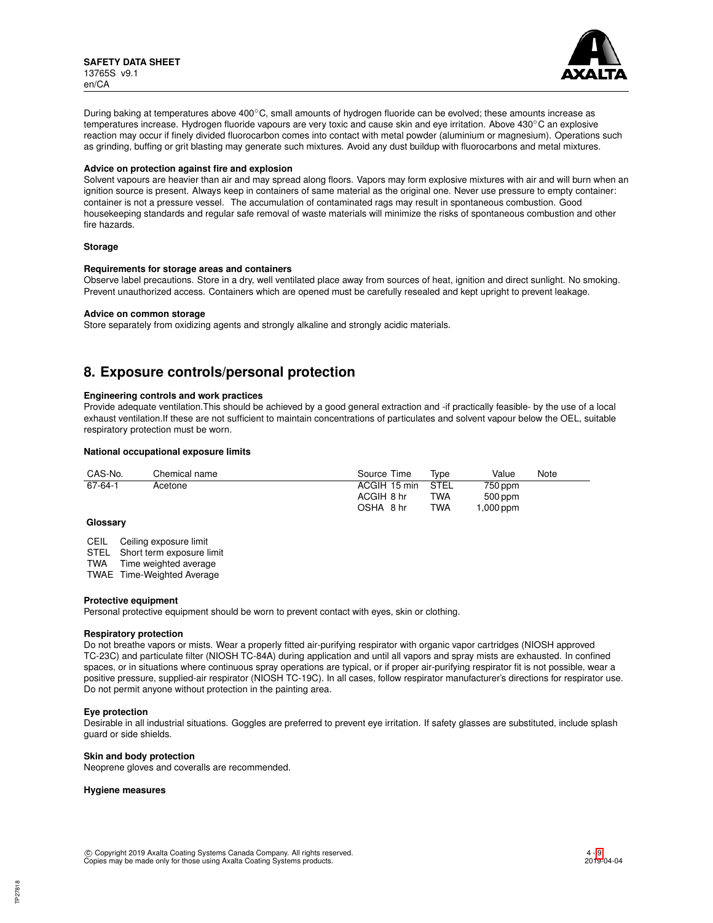

During baking at temperatures above 400◦C, small amounts of hydrogen fluoride can be evolved; these amounts increase as temperatures increase. Hydrogen fluoride vapours are very toxic and cause skin and eye irritation. Above 430℃ an explosive reaction may occur if finely divided fluorocarbon comes into contact with metal powder (aluminium or magnesium). Operations such as grinding, buffing or grit blasting may generate such mixtures. Avoid any dust buildup with fluorocarbons and metal mixtures.

#### **Advice on protection against fire and explosion**

Solvent vapours are heavier than air and may spread along floors. Vapors may form explosive mixtures with air and will burn when an ignition source is present. Always keep in containers of same material as the original one. Never use pressure to empty container: container is not a pressure vessel. The accumulation of contaminated rags may result in spontaneous combustion. Good housekeeping standards and regular safe removal of waste materials will minimize the risks of spontaneous combustion and other fire hazards.

### **Storage**

#### **Requirements for storage areas and containers**

Observe label precautions. Store in a dry, well ventilated place away from sources of heat, ignition and direct sunlight. No smoking. Prevent unauthorized access. Containers which are opened must be carefully resealed and kept upright to prevent leakage.

#### **Advice on common storage**

Store separately from oxidizing agents and strongly alkaline and strongly acidic materials.

## **8. Exposure controls/personal protection**

### **Engineering controls and work practices**

Provide adequate ventilation.This should be achieved by a good general extraction and -if practically feasible- by the use of a local exhaust ventilation.If these are not sufficient to maintain concentrations of particulates and solvent vapour below the OEL, suitable respiratory protection must be worn.

#### **National occupational exposure limits**

| CAS-No. | Chemical name | Source Time  | Tvpe       | Value     | Note |
|---------|---------------|--------------|------------|-----------|------|
| 67-64-1 | Acetone       | ACGIH 15 min | STEL       | 750 ppm   |      |
|         |               | ACGIH 8 hr   | TWA        | $500$ ppm |      |
|         |               | OSHA 8 hr    | <b>TWA</b> | ,000 ppm  |      |

#### **Glossary**

CEIL Ceiling exposure limit

STEL Short term exposure limit<br>TWA Time weighted average

Time weighted average

TWAE Time-Weighted Average

#### **Protective equipment**

Personal protective equipment should be worn to prevent contact with eyes, skin or clothing.

#### **Respiratory protection**

Do not breathe vapors or mists. Wear a properly fitted air-purifying respirator with organic vapor cartridges (NIOSH approved TC-23C) and particulate filter (NIOSH TC-84A) during application and until all vapors and spray mists are exhausted. In confined spaces, or in situations where continuous spray operations are typical, or if proper air-purifying respirator fit is not possible, wear a positive pressure, supplied-air respirator (NIOSH TC-19C). In all cases, follow respirator manufacturer's directions for respirator use. Do not permit anyone without protection in the painting area.

## **Eye protection**

Desirable in all industrial situations. Goggles are preferred to prevent eye irritation. If safety glasses are substituted, include splash guard or side shields.

### **Skin and body protection**

Neoprene gloves and coveralls are recommended.

#### **Hygiene measures**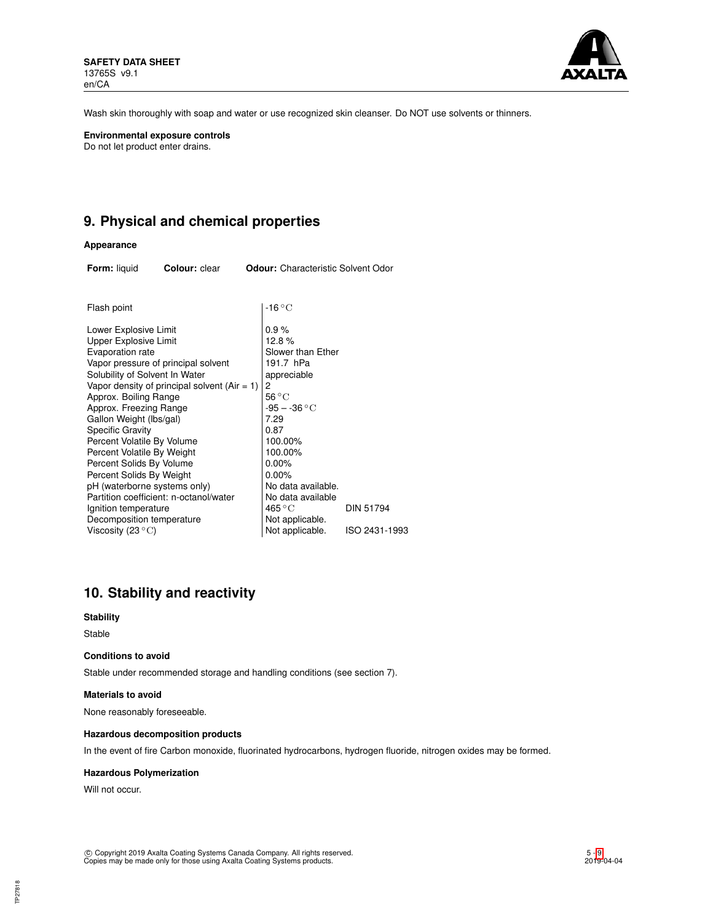

Wash skin thoroughly with soap and water or use recognized skin cleanser. Do NOT use solvents or thinners.

**Environmental exposure controls** Do not let product enter drains.

## **9. Physical and chemical properties**

## **Appearance**

| <b>Form: liquid</b>                                                                                                                                                                                                                                                                                                                                                                                                           | Colour: clear                                                                                                                 |   | <b>Odour:</b> Characteristic Solvent Odor                                                                                                                                                                                                                |                  |
|-------------------------------------------------------------------------------------------------------------------------------------------------------------------------------------------------------------------------------------------------------------------------------------------------------------------------------------------------------------------------------------------------------------------------------|-------------------------------------------------------------------------------------------------------------------------------|---|----------------------------------------------------------------------------------------------------------------------------------------------------------------------------------------------------------------------------------------------------------|------------------|
| Flash point                                                                                                                                                                                                                                                                                                                                                                                                                   |                                                                                                                               |   | $-16^{\circ}$ C                                                                                                                                                                                                                                          |                  |
| Lower Explosive Limit<br><b>Upper Explosive Limit</b><br>Evaporation rate<br>Solubility of Solvent In Water<br>Approx. Boiling Range<br>Approx. Freezing Range<br>Gallon Weight (lbs/gal)<br><b>Specific Gravity</b><br>Percent Volatile By Volume<br>Percent Volatile By Weight<br>Percent Solids By Volume<br>Percent Solids By Weight<br>pH (waterborne systems only)<br>Ignition temperature<br>Decomposition temperature | Vapor pressure of principal solvent<br>Vapor density of principal solvent (Air = 1)<br>Partition coefficient: n-octanol/water | 2 | 0.9%<br>12.8%<br>Slower than Ether<br>191.7 hPa<br>appreciable<br>$56^{\circ}$ C<br>$-95 - -36 °C$<br>7.29<br>0.87<br>100.00%<br>100.00%<br>0.00%<br>$0.00\%$<br>No data available.<br>No data available<br>$465\,^{\circ}\mathrm{C}$<br>Not applicable. | <b>DIN 51794</b> |
| Viscosity (23 $\mathrm{^{\circ}C}$ )                                                                                                                                                                                                                                                                                                                                                                                          |                                                                                                                               |   | Not applicable.                                                                                                                                                                                                                                          | ISO 2431-1993    |

# **10. Stability and reactivity**

## **Stability**

Stable

## **Conditions to avoid**

Stable under recommended storage and handling conditions (see section 7).

#### **Materials to avoid**

None reasonably foreseeable.

#### **Hazardous decomposition products**

In the event of fire Carbon monoxide, fluorinated hydrocarbons, hydrogen fluoride, nitrogen oxides may be formed.

### **Hazardous Polymerization**

Will not occur.

TP27818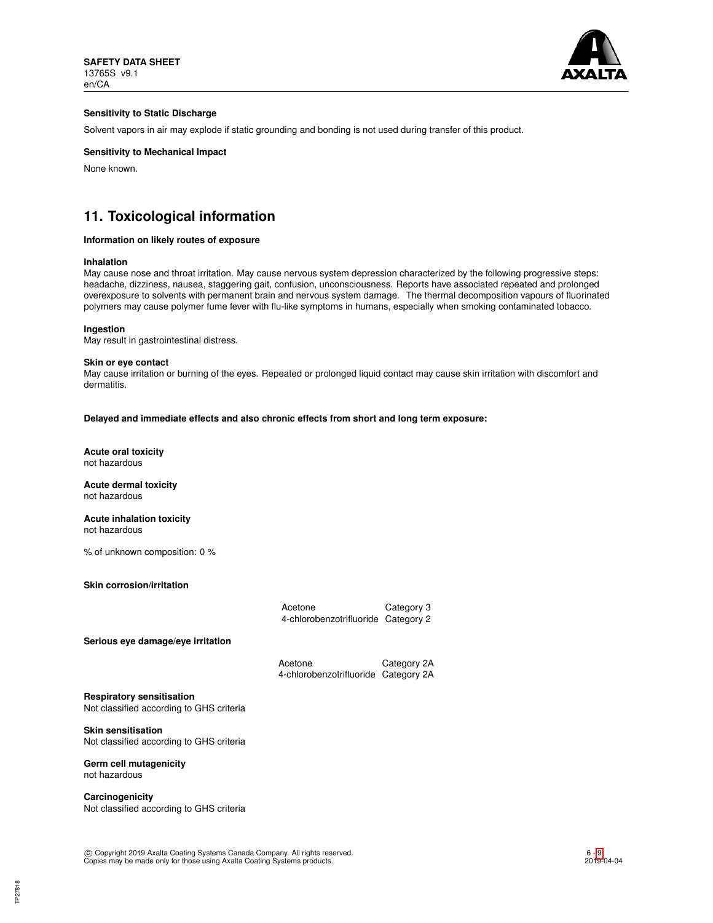

## **Sensitivity to Static Discharge**

Solvent vapors in air may explode if static grounding and bonding is not used during transfer of this product.

## **Sensitivity to Mechanical Impact**

None known.

## **11. Toxicological information**

#### **Information on likely routes of exposure**

#### **Inhalation**

May cause nose and throat irritation. May cause nervous system depression characterized by the following progressive steps: headache, dizziness, nausea, staggering gait, confusion, unconsciousness. Reports have associated repeated and prolonged overexposure to solvents with permanent brain and nervous system damage. The thermal decomposition vapours of fluorinated polymers may cause polymer fume fever with flu-like symptoms in humans, especially when smoking contaminated tobacco.

#### **Ingestion**

May result in gastrointestinal distress.

#### **Skin or eye contact**

May cause irritation or burning of the eyes. Repeated or prolonged liquid contact may cause skin irritation with discomfort and dermatitis.

**Delayed and immediate effects and also chronic effects from short and long term exposure:**

**Acute oral toxicity** not hazardous

**Acute dermal toxicity** not hazardous

**Acute inhalation toxicity** not hazardous

% of unknown composition: 0 %

**Skin corrosion/irritation**

|                                   | Acetone<br>4-chlorobenzotrifluoride Category 2 | Category 3 |
|-----------------------------------|------------------------------------------------|------------|
| Serious eye damage/eye irritation |                                                |            |

| Acetone                              | Category 2A |
|--------------------------------------|-------------|
| 4-chlorobenzotrifluoride Category 2A |             |

**Respiratory sensitisation**

Not classified according to GHS criteria

**Skin sensitisation** Not classified according to GHS criteria

## **Germ cell mutagenicity**

not hazardous

**Carcinogenicity** Not classified according to GHS criteria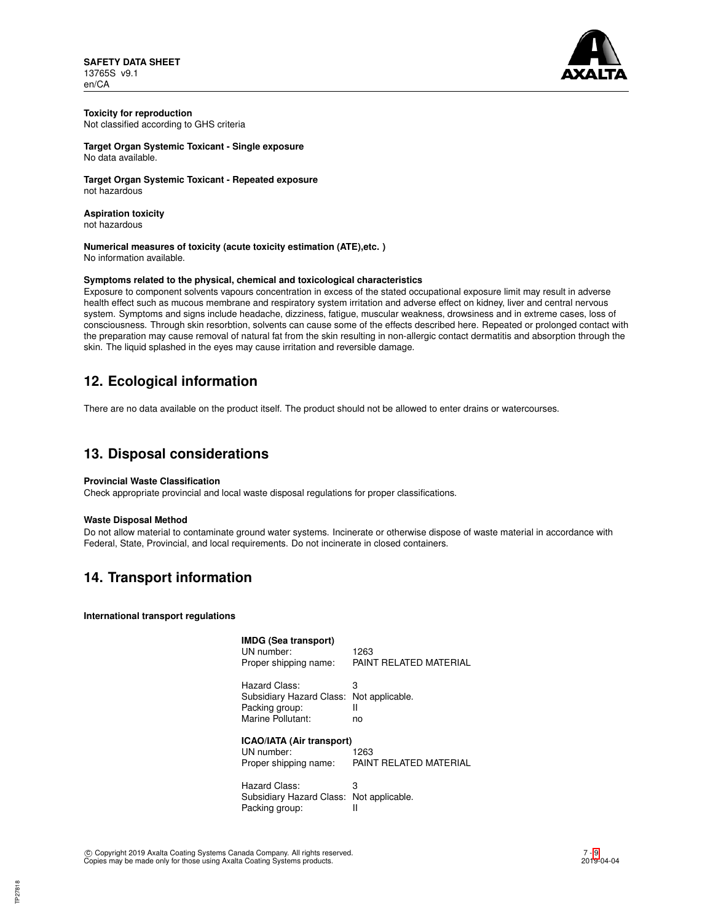**SAFETY DATA SHEET** 13765S v9.1 en/CA



#### **Toxicity for reproduction** Not classified according to GHS criteria

**Target Organ Systemic Toxicant - Single exposure** No data available.

**Target Organ Systemic Toxicant - Repeated exposure** not hazardous

**Aspiration toxicity** not hazardous

**Numerical measures of toxicity (acute toxicity estimation (ATE),etc. )** No information available.

### **Symptoms related to the physical, chemical and toxicological characteristics**

Exposure to component solvents vapours concentration in excess of the stated occupational exposure limit may result in adverse health effect such as mucous membrane and respiratory system irritation and adverse effect on kidney, liver and central nervous system. Symptoms and signs include headache, dizziness, fatigue, muscular weakness, drowsiness and in extreme cases, loss of consciousness. Through skin resorbtion, solvents can cause some of the effects described here. Repeated or prolonged contact with the preparation may cause removal of natural fat from the skin resulting in non-allergic contact dermatitis and absorption through the skin. The liquid splashed in the eyes may cause irritation and reversible damage.

## **12. Ecological information**

There are no data available on the product itself. The product should not be allowed to enter drains or watercourses.

## **13. Disposal considerations**

## **Provincial Waste Classification**

Check appropriate provincial and local waste disposal regulations for proper classifications.

## **Waste Disposal Method**

Do not allow material to contaminate ground water systems. Incinerate or otherwise dispose of waste material in accordance with Federal, State, Provincial, and local requirements. Do not incinerate in closed containers.

## **14. Transport information**

**International transport regulations**

| <b>IMDG (Sea transport)</b><br>UN number:<br>Proper shipping name:      | 1263<br>PAINT REI ATED MATERIAI |
|-------------------------------------------------------------------------|---------------------------------|
| Hazard Class:                                                           | 3                               |
| Subsidiary Hazard Class:                                                | Not applicable.                 |
| Packing group:                                                          | н                               |
| Marine Pollutant:                                                       | no                              |
| <b>ICAO/IATA (Air transport)</b><br>UN number:<br>Proper shipping name: | 1263<br>PAINT RELATED MATERIAL  |
| Hazard Class:                                                           | 3                               |
| Subsidiary Hazard Class:                                                | Not applicable.                 |
| Packing group:                                                          | II                              |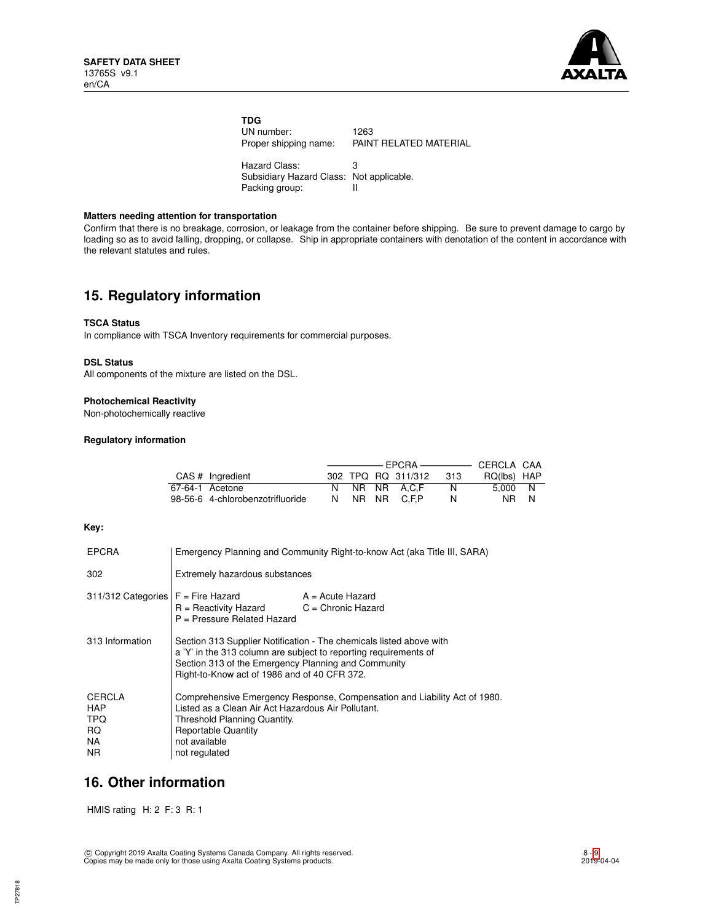

| <b>TDG</b>                               |                        |
|------------------------------------------|------------------------|
| UN number:                               | 1263                   |
| Proper shipping name:                    | PAINT RELATED MATERIAL |
| Hazard Class:                            | З                      |
| Subsidiary Hazard Class: Not applicable. |                        |
| Packing group:                           |                        |

### **Matters needing attention for transportation**

Confirm that there is no breakage, corrosion, or leakage from the container before shipping. Be sure to prevent damage to cargo by loading so as to avoid falling, dropping, or collapse. Ship in appropriate containers with denotation of the content in accordance with the relevant statutes and rules.

## **15. Regulatory information**

### **TSCA Status**

In compliance with TSCA Inventory requirements for commercial purposes.

### **DSL Status**

All components of the mixture are listed on the DSL.

### **Photochemical Reactivity**

Non-photochemically reactive

## **Regulatory information**

| $CAS$ # Ingredient               |  | 302 TPQ RQ 311/312 | -313 | RQ(lbs) HAP |  |
|----------------------------------|--|--------------------|------|-------------|--|
| 67-64-1 Acetone                  |  | N NR NR A.C.F      | N.   | 5.000 N     |  |
| 98-56-6 4-chlorobenzotrifluoride |  | N NR NR C.F.P      | N    | NR N        |  |

## **Key:**

| <b>EPCRA</b>                                             | Emergency Planning and Community Right-to-know Act (aka Title III, SARA)                                                                                                                                                                       |                    |  |
|----------------------------------------------------------|------------------------------------------------------------------------------------------------------------------------------------------------------------------------------------------------------------------------------------------------|--------------------|--|
| 302                                                      | Extremely hazardous substances                                                                                                                                                                                                                 |                    |  |
| $311/312$ Categories $F =$ Fire Hazard                   | $R =$ Reactivity Hazard $C =$ Chronic Hazard<br>P = Pressure Related Hazard                                                                                                                                                                    | $A = Acute$ Hazard |  |
| 313 Information                                          | Section 313 Supplier Notification - The chemicals listed above with<br>a 'Y' in the 313 column are subject to reporting requirements of<br>Section 313 of the Emergency Planning and Community<br>Right-to-Know act of 1986 and of 40 CFR 372. |                    |  |
| <b>CERCLA</b><br><b>HAP</b><br>TPQ.<br>RQ.<br>NA.<br>NR. | Comprehensive Emergency Response, Compensation and Liability Act of 1980.<br>Listed as a Clean Air Act Hazardous Air Pollutant.<br>Threshold Planning Quantity.<br><b>Reportable Quantity</b><br>not available<br>not regulated                |                    |  |

## **16. Other information**

HMIS rating H: 2 F: 3 R: 1